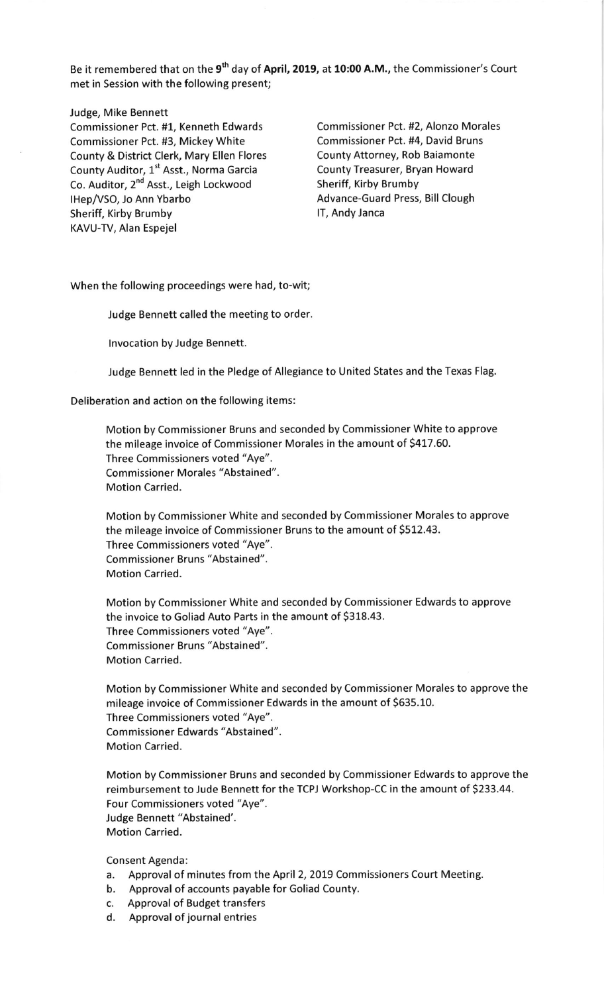Be it remembered that on the 9<sup>th</sup> day of April, 2019, at 10:00 A.M., the Commissioner's Court met in Session with the following present;

Judge, Mike Bennett

Commissioner Pct. #1, Kenneth Edwards Commissioner Pct. #2, Alonzo Morales Commissioner Pct. #3, Mickey White Commissioner Pct. #4, David Bruns County & District Clerk, Mary Ellen Flores County Attorney, Rob Baiamonte County Auditor, 1<sup>st</sup> Asst., Norma Garcia County Treasurer, Bryan Howard Co. Auditor, 2<sup>nd</sup> Asst., Leigh Lockwood Sheriff, Kirby Brumby IHep/VSO, Jo Ann Ybarbo **Advance-Guard Press, Bill Clough** Sheriff, Kirby Brumby and a state of the IT, Andy Janca KAVU-TV, Alan Espejel

When the following proceedings were had, to-wit;

Judge Bennett called the meeting to order.

lnvocation by Judge Bennett.

Judge Bennett led in the Pledge of Allegiance to United States and the Texas Flag.

Deliberation and action on the following items:

Motion by Commissioner Bruns and seconded by Commissioner White to approve the mileage invoice of Commissioner Morales in the amount of 5417.60. Three Commissioners voted "Aye". Commissioner Morales "Abstained". Motion Carried.

Motion by Commissioner White and seconded by Commissioner Morales to approve the mileage invoice of Commissioner Bruns to the amount of 5512.43. Three Commissioners voted "Aye". Commissioner Bruns "Abstained". Motion Carried.

Motion by Commissioner White and seconded by Commissioner Edwards to approve the invoice to Goliad Auto Parts in the amount of \$318.43. Three Commissioners voted "Aye". Commissioner Bruns "Abstained". Motion Carried.

Motion by Commissioner White and seconded by Commissioner Morales to approve the mileage invoice of Commissioner Edwards in the amount of 5635.10. Three Commissioners voted "Aye". Commissioner Edwards "Abstained". Motion Carried.

Motion by Commissioner Bruns and seconded by Commissioner Edwards to approve the reimbursement to Jude Bennett for the TCPJ Workshop-CC in the amount of 5233.44. Four Commissioners voted "Aye". Judge Bennett "Abstained'. Motion Carried.

Consent Agenda:

- a. Approval of minutes from the April 2, 2019 Commissioners Court Meeting.
- b. Approval of accounts payable for Goliad County.
- c. Approval of Budget transfers
- d. Approval of journal entries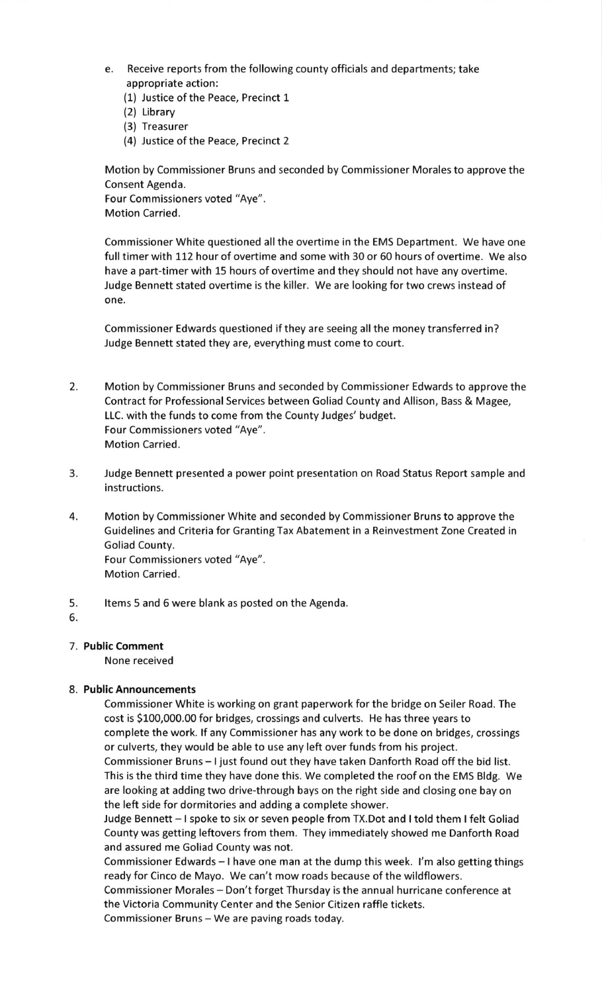e. Receive reports from the following county officials and departments; take appropriate action:

(1) Justice of the Peace, Precinct 1

- (2) Library
- (3) Treasurer
- (4) Justice of the Peace, Precinct 2

Motion by Commissioner Bruns and seconded by Commissioner Morales to approve the Consent Agenda.

Four Commissioners voted "Aye". Motion Carried.

Commissioner White questioned all the overtime in the EMS Department. We have one full timer with 112 hour of overtime and some with 30 or 60 hours of overtime. We also have a part-timer with 15 hours of overtime and they should not have any overtime. Judge Bennett stated overtime is the killer. We are looking for two crews instead of one.

Commissioner Edwards questioned if they are seeing all the money transferred in? Judge Bennett stated they are, everything must come to court.

- 2. Motion by Commissioner Bruns and seconded by Commissioner Edwards to approve the Contract for Professional Services between Goliad County and Allison, Bass & Magee, LLC. with the funds to come from the County Judges' budget. Four Commissioners voted "Aye". Motion Carried.
- 3. Judge Bennett presented a power point presentation on Road Status Report sample and instructions.
- 4. Motion by Commissioner White and seconded by Commissioner Bruns to approve the Guidelines and Criteria for Granting Tax Abatement in a Reinvestment Zone Created in Goliad County. Four Commissioners voted "Aye". Motion Carried.
- 5. ltems 5 and 6 were blank as posted on the Agenda.
- 6.

## 7. Public Comment

None received

## 8. Public Announcements

Commissioner White is working on grant paperwork for the bridge on Seiler Road. The cost is 5100,000.00 for bridges, crossings and culverts. He has three years to complete the work. lf any Commissioner has any work to be done on bridges, crossings or culverts, they would be able to use any left over funds from his project.

Commissioner Bruns - I just found out they have taken Danforth Road off the bid list. This is the third time they have done this. We completed the roof on the EMS Bldg. We are looking at adding two drive-through bays on the right side and closing one bay on the left side for dormitories and adding a complete shower.

Judge Bennett - I spoke to six or seven people from TX.Dot and I told them I felt Goliad County was getting leftovers from them. They immediately showed me Danforth Road and assured me Goliad County was not.

Commissioner Edwards  $-1$  have one man at the dump this week. I'm also getting things ready for Cinco de Mayo. We can't mow roads because of the wildflowers.

Commissioner Morales - Don't forget Thursday is the annual hurricane conference at the Victoria Community Center and the Senior Citizen raffle tickets.

Commissioner Bruns - We are paving roads today.